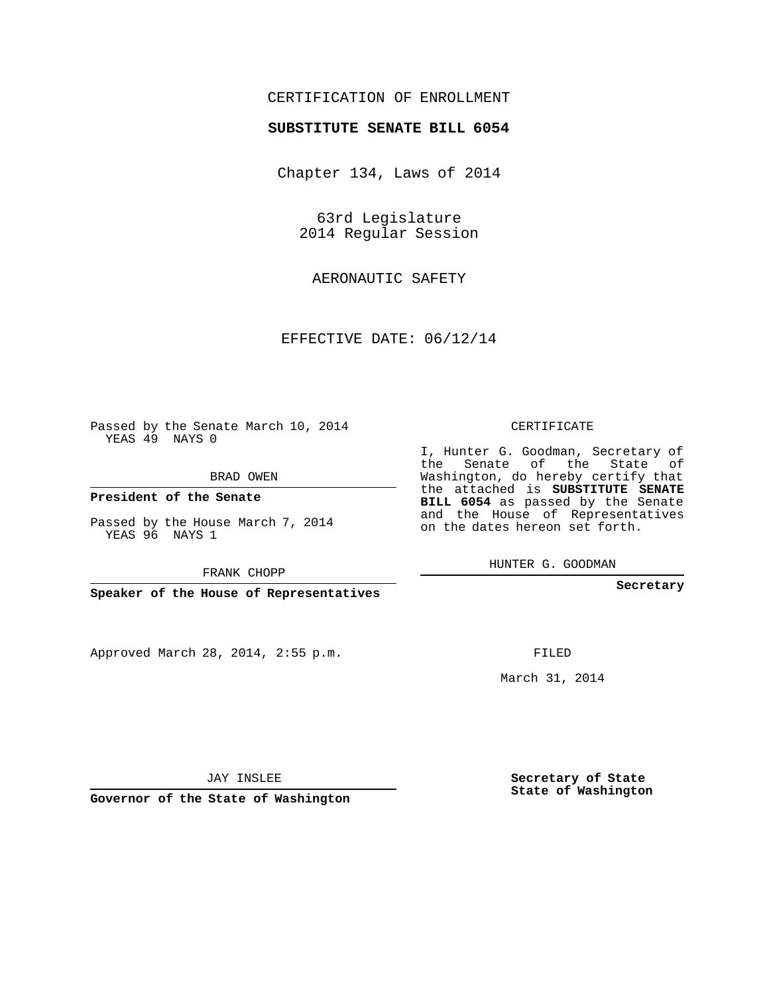## CERTIFICATION OF ENROLLMENT

## **SUBSTITUTE SENATE BILL 6054**

Chapter 134, Laws of 2014

63rd Legislature 2014 Regular Session

AERONAUTIC SAFETY

EFFECTIVE DATE: 06/12/14

Passed by the Senate March 10, 2014 YEAS 49 NAYS 0

BRAD OWEN

**President of the Senate**

Passed by the House March 7, 2014 YEAS 96 NAYS 1

FRANK CHOPP

**Speaker of the House of Representatives**

Approved March 28, 2014, 2:55 p.m.

CERTIFICATE

I, Hunter G. Goodman, Secretary of the Senate of the State of Washington, do hereby certify that the attached is **SUBSTITUTE SENATE BILL 6054** as passed by the Senate and the House of Representatives on the dates hereon set forth.

HUNTER G. GOODMAN

**Secretary**

FILED

March 31, 2014

**Secretary of State State of Washington**

JAY INSLEE

**Governor of the State of Washington**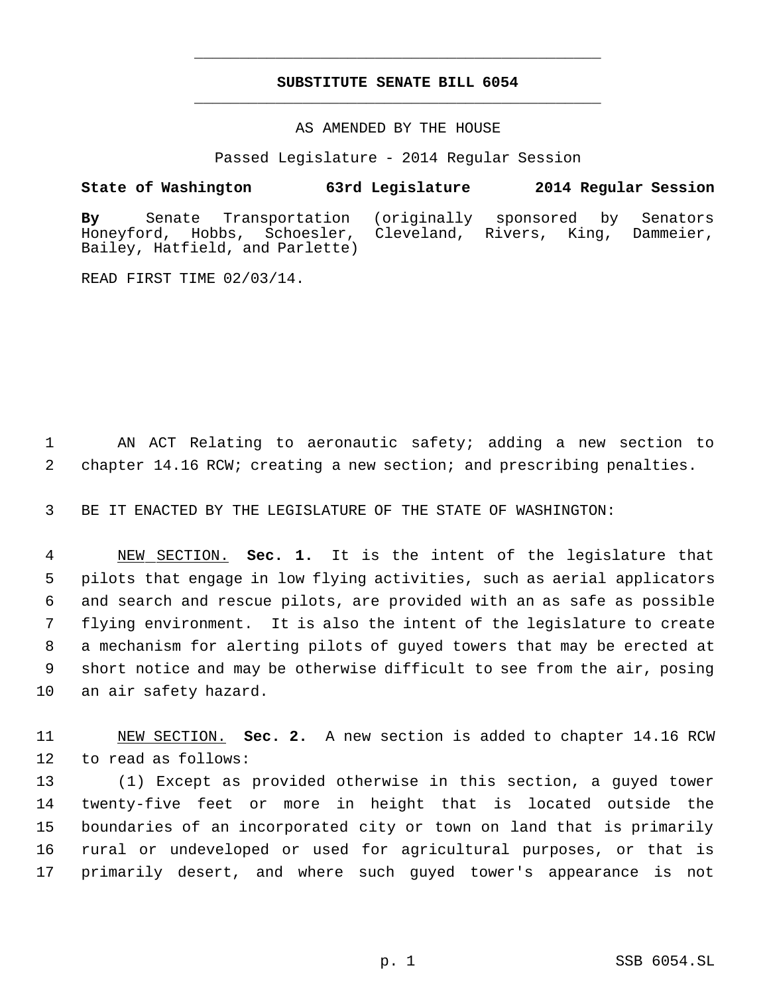## **SUBSTITUTE SENATE BILL 6054** \_\_\_\_\_\_\_\_\_\_\_\_\_\_\_\_\_\_\_\_\_\_\_\_\_\_\_\_\_\_\_\_\_\_\_\_\_\_\_\_\_\_\_\_\_

\_\_\_\_\_\_\_\_\_\_\_\_\_\_\_\_\_\_\_\_\_\_\_\_\_\_\_\_\_\_\_\_\_\_\_\_\_\_\_\_\_\_\_\_\_

AS AMENDED BY THE HOUSE

Passed Legislature - 2014 Regular Session

**State of Washington 63rd Legislature 2014 Regular Session**

**By** Senate Transportation (originally sponsored by Senators Cleveland, Rivers, King, Dammeier, Bailey, Hatfield, and Parlette)

READ FIRST TIME 02/03/14.

 AN ACT Relating to aeronautic safety; adding a new section to chapter 14.16 RCW; creating a new section; and prescribing penalties.

BE IT ENACTED BY THE LEGISLATURE OF THE STATE OF WASHINGTON:

 NEW SECTION. **Sec. 1.** It is the intent of the legislature that pilots that engage in low flying activities, such as aerial applicators and search and rescue pilots, are provided with an as safe as possible flying environment. It is also the intent of the legislature to create a mechanism for alerting pilots of guyed towers that may be erected at short notice and may be otherwise difficult to see from the air, posing an air safety hazard.

 NEW SECTION. **Sec. 2.** A new section is added to chapter 14.16 RCW to read as follows:

 (1) Except as provided otherwise in this section, a guyed tower twenty-five feet or more in height that is located outside the boundaries of an incorporated city or town on land that is primarily rural or undeveloped or used for agricultural purposes, or that is primarily desert, and where such guyed tower's appearance is not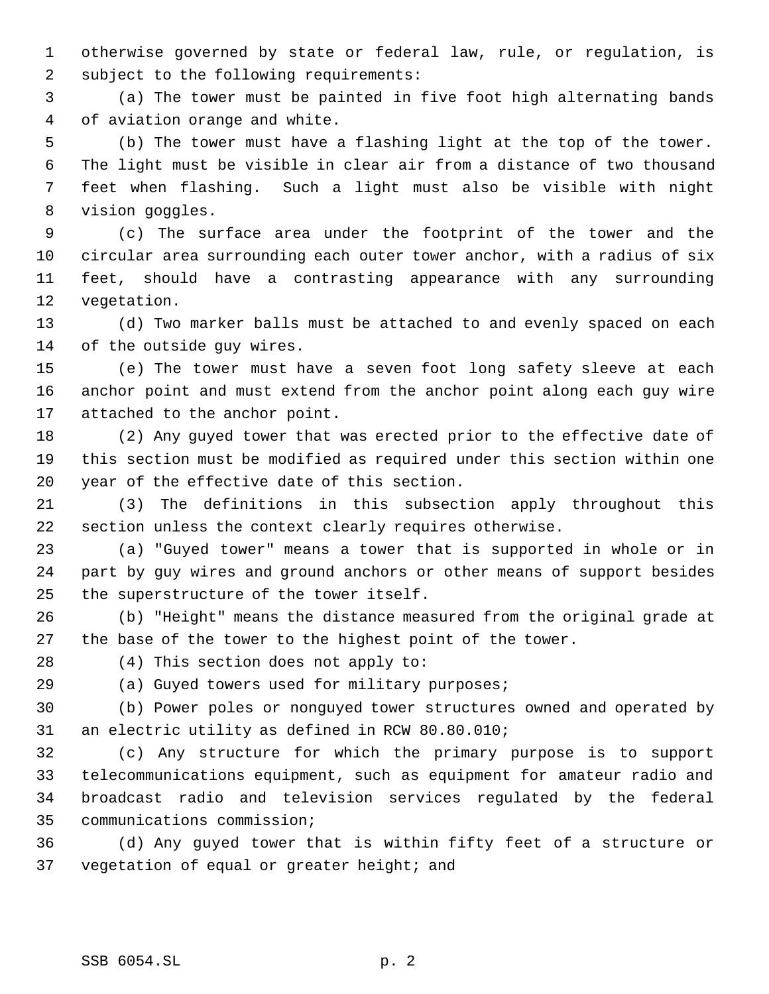otherwise governed by state or federal law, rule, or regulation, is subject to the following requirements:

 (a) The tower must be painted in five foot high alternating bands of aviation orange and white.

 (b) The tower must have a flashing light at the top of the tower. The light must be visible in clear air from a distance of two thousand feet when flashing. Such a light must also be visible with night vision goggles.

 (c) The surface area under the footprint of the tower and the circular area surrounding each outer tower anchor, with a radius of six feet, should have a contrasting appearance with any surrounding vegetation.

 (d) Two marker balls must be attached to and evenly spaced on each of the outside guy wires.

 (e) The tower must have a seven foot long safety sleeve at each anchor point and must extend from the anchor point along each guy wire attached to the anchor point.

 (2) Any guyed tower that was erected prior to the effective date of this section must be modified as required under this section within one year of the effective date of this section.

 (3) The definitions in this subsection apply throughout this section unless the context clearly requires otherwise.

 (a) "Guyed tower" means a tower that is supported in whole or in part by guy wires and ground anchors or other means of support besides the superstructure of the tower itself.

 (b) "Height" means the distance measured from the original grade at the base of the tower to the highest point of the tower.

(4) This section does not apply to:

(a) Guyed towers used for military purposes;

 (b) Power poles or nonguyed tower structures owned and operated by an electric utility as defined in RCW 80.80.010;

 (c) Any structure for which the primary purpose is to support telecommunications equipment, such as equipment for amateur radio and broadcast radio and television services regulated by the federal communications commission;

 (d) Any guyed tower that is within fifty feet of a structure or 37 vegetation of equal or greater height; and